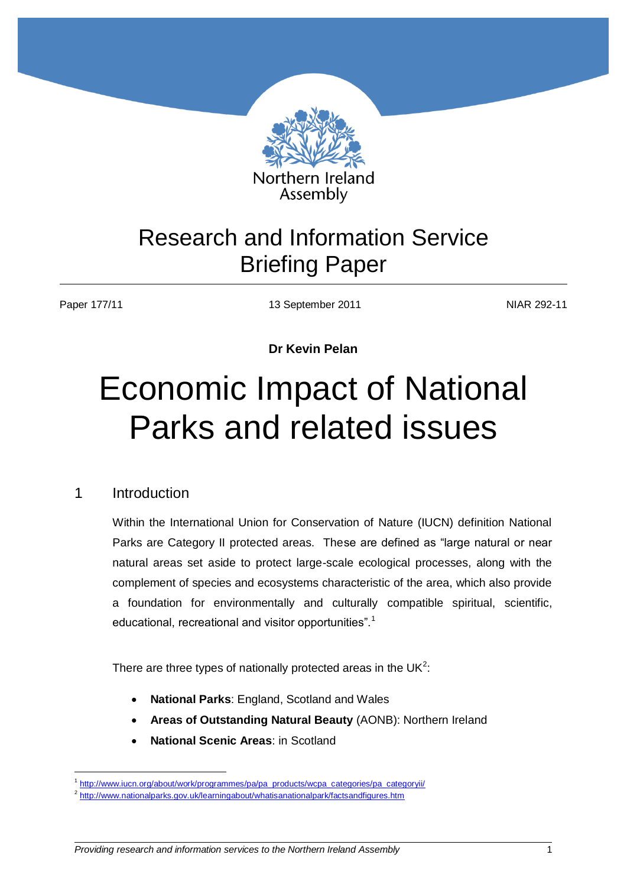

# Research and Information Service Briefing Paper

1

Paper 177/11 13 September 2011 NIAR 292-11

**Dr Kevin Pelan**

# Economic Impact of National Parks and related issues

# 1 Introduction

Within the International Union for Conservation of Nature (IUCN) definition National Parks are Category II protected areas. These are defined as "large natural or near natural areas set aside to protect large-scale ecological processes, along with the complement of species and ecosystems characteristic of the area, which also provide a foundation for environmentally and culturally compatible spiritual, scientific, educational, recreational and visitor opportunities".<sup>1</sup>

There are three types of nationally protected areas in the UK<sup>2</sup>:

- **National Parks**: England, Scotland and Wales
- **Areas of Outstanding Natural Beauty** (AONB): Northern Ireland
- **National Scenic Areas**: in Scotland

*Providing research and information services to the Northern Ireland Assembly*

<sup>&</sup>lt;sup>1</sup> [http://www.iucn.org/about/work/programmes/pa/pa\\_products/wcpa\\_categories/pa\\_categoryii/](http://www.iucn.org/about/work/programmes/pa/pa_products/wcpa_categories/pa_categoryii/)

<sup>&</sup>lt;sup>2</sup> <http://www.nationalparks.gov.uk/learningabout/whatisanationalpark/factsandfigures.htm>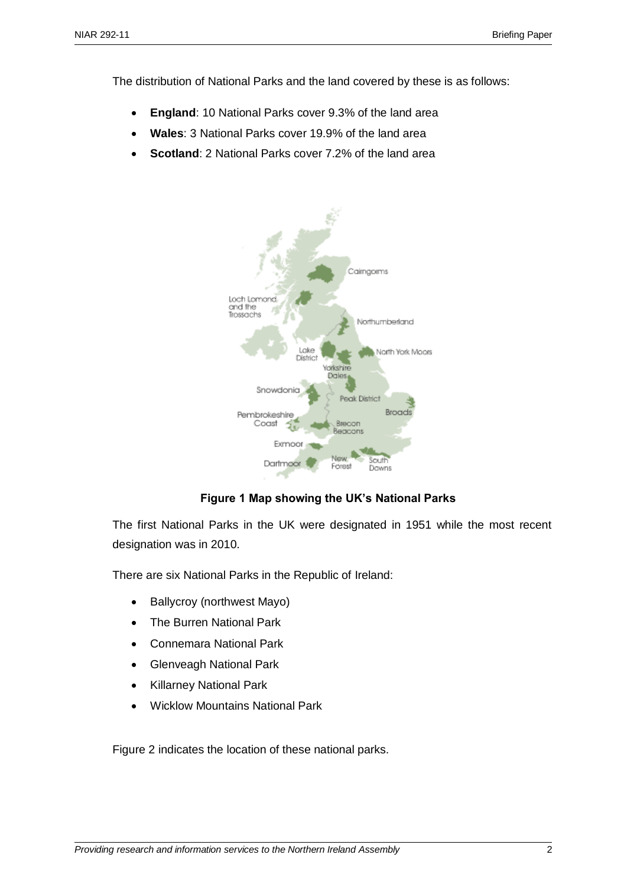The distribution of National Parks and the land covered by these is as follows:

- **England**: 10 National Parks cover 9.3% of the land area
- **Wales**: 3 National Parks cover 19.9% of the land area
- **Scotland**: 2 National Parks cover 7.2% of the land area



# **Figure 1 Map showing the UK's National Parks**

The first National Parks in the UK were designated in 1951 while the most recent designation was in 2010.

There are six National Parks in the Republic of Ireland:

- Ballycroy (northwest Mayo)
- The Burren National Park
- Connemara National Park
- Glenveagh National Park
- Killarney National Park
- Wicklow Mountains National Park

Figure 2 indicates the location of these national parks.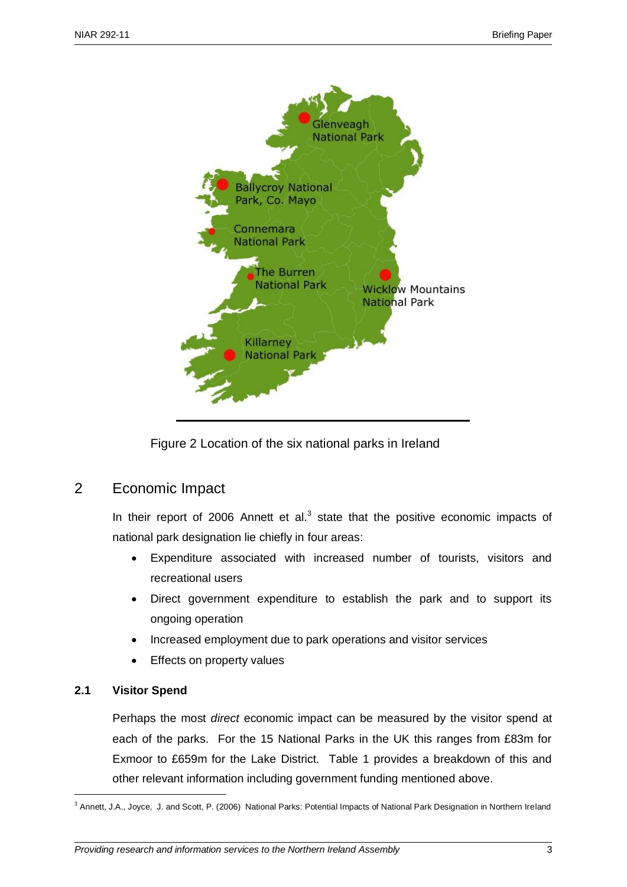

Figure 2 Location of the six national parks in Ireland

# 2 Economic Impact

In their report of 2006 Annett et al. $3$  state that the positive economic impacts of national park designation lie chiefly in four areas:

- Expenditure associated with increased number of tourists, visitors and recreational users
- Direct government expenditure to establish the park and to support its ongoing operation
- Increased employment due to park operations and visitor services
- Effects on property values

# **2.1 Visitor Spend**

<u>.</u>

Perhaps the most *direct* economic impact can be measured by the visitor spend at each of the parks. For the 15 National Parks in the UK this ranges from £83m for Exmoor to £659m for the Lake District. Table 1 provides a breakdown of this and other relevant information including government funding mentioned above.

<sup>&</sup>lt;sup>3</sup> Annett, J.A., Joyce, J. and Scott, P. (2006) National Parks: Potential Impacts of National Park Designation in Northern Ireland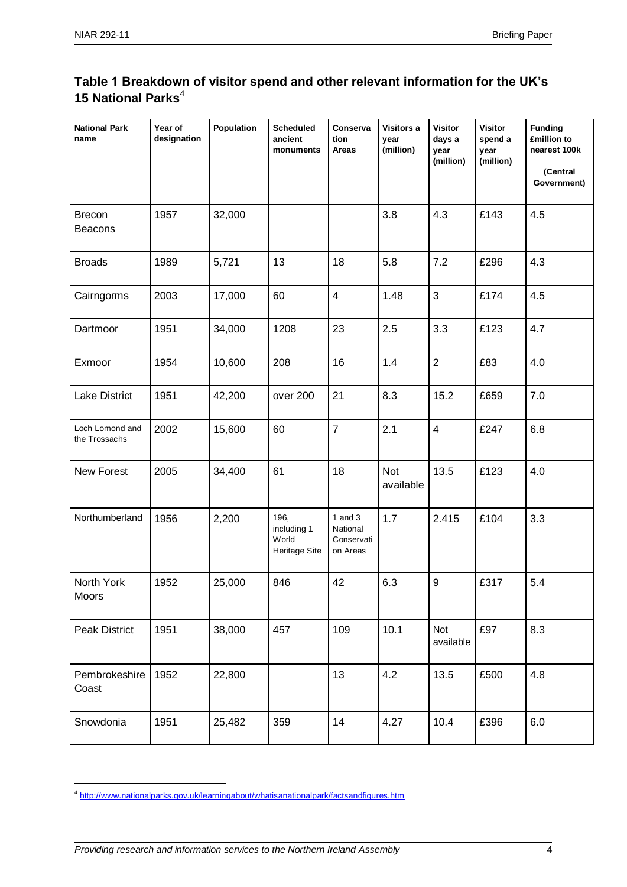# **Table 1 Breakdown of visitor spend and other relevant information for the UK's 15 National Parks**<sup>4</sup>

| <b>National Park</b><br>name     | Year of<br>designation | Population | <b>Scheduled</b><br>ancient<br>monuments             | Conserva<br>tion<br>Areas                       | Visitors a<br>year<br>(million) | <b>Visitor</b><br>days a<br>year<br>(million) | <b>Visitor</b><br>spend a<br>year<br>(million) | <b>Funding</b><br>£million to<br>nearest 100k<br>(Central<br>Government) |
|----------------------------------|------------------------|------------|------------------------------------------------------|-------------------------------------------------|---------------------------------|-----------------------------------------------|------------------------------------------------|--------------------------------------------------------------------------|
| <b>Brecon</b><br><b>Beacons</b>  | 1957                   | 32,000     |                                                      |                                                 | 3.8                             | 4.3                                           | £143                                           | 4.5                                                                      |
| <b>Broads</b>                    | 1989                   | 5,721      | 13                                                   | 18                                              | 5.8                             | 7.2                                           | £296                                           | 4.3                                                                      |
| Cairngorms                       | 2003                   | 17,000     | 60                                                   | $\overline{\mathbf{4}}$                         | 1.48                            | $\mathfrak{B}$                                | £174                                           | 4.5                                                                      |
| Dartmoor                         | 1951                   | 34,000     | 1208                                                 | 23                                              | 2.5                             | 3.3                                           | £123                                           | 4.7                                                                      |
| Exmoor                           | 1954                   | 10,600     | 208                                                  | 16                                              | 1.4                             | $\overline{2}$                                | £83                                            | 4.0                                                                      |
| <b>Lake District</b>             | 1951                   | 42,200     | over 200                                             | 21                                              | 8.3                             | 15.2                                          | £659                                           | 7.0                                                                      |
| Loch Lomond and<br>the Trossachs | 2002                   | 15,600     | 60                                                   | $\overline{7}$                                  | 2.1                             | $\overline{4}$                                | £247                                           | 6.8                                                                      |
| New Forest                       | 2005                   | 34,400     | 61                                                   | 18                                              | <b>Not</b><br>available         | 13.5                                          | £123                                           | 4.0                                                                      |
| Northumberland                   | 1956                   | 2,200      | 196,<br>including 1<br>World<br><b>Heritage Site</b> | 1 and $3$<br>National<br>Conservati<br>on Areas | 1.7                             | 2.415                                         | £104                                           | 3.3                                                                      |
| North York<br>Moors              | 1952                   | 25,000     | 846                                                  | 42                                              | 6.3                             | 9                                             | £317                                           | 5.4                                                                      |
| <b>Peak District</b>             | 1951                   | 38,000     | 457                                                  | 109                                             | 10.1                            | Not<br>available                              | £97                                            | 8.3                                                                      |
| Pembrokeshire<br>Coast           | 1952                   | 22,800     |                                                      | 13                                              | 4.2                             | 13.5                                          | £500                                           | 4.8                                                                      |
| Snowdonia                        | 1951                   | 25,482     | 359                                                  | 14                                              | 4.27                            | 10.4                                          | £396                                           | 6.0                                                                      |

1

<sup>&</sup>lt;sup>4</sup> <http://www.nationalparks.gov.uk/learningabout/whatisanationalpark/factsandfigures.htm>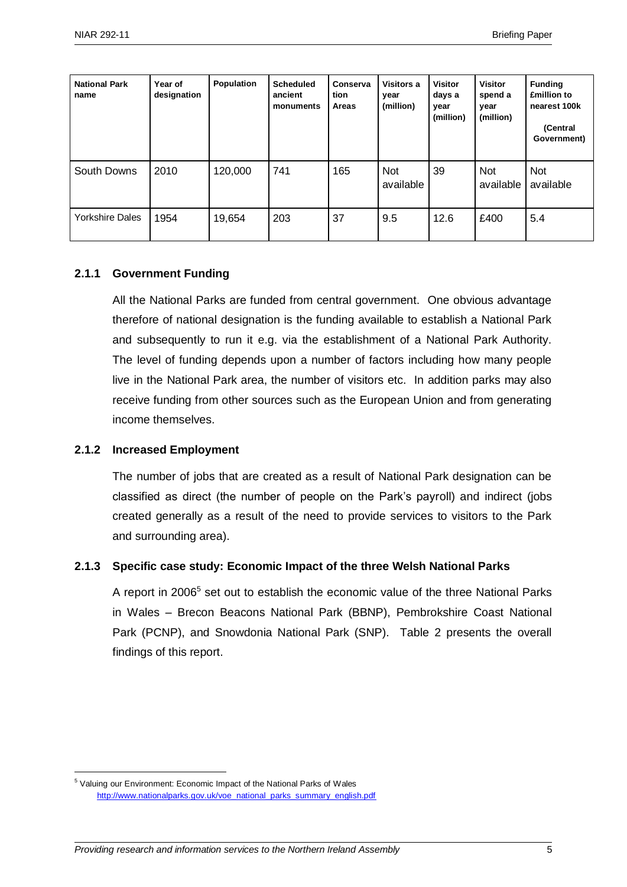| <b>National Park</b><br>name | Year of<br>designation | Population | <b>Scheduled</b><br>ancient<br>monuments | Conserva<br>tion<br>Areas | Visitors a<br>year<br>(million) | <b>Visitor</b><br>days a<br>year<br>(million) | <b>Visitor</b><br>spend a<br>vear<br>(million) | <b>Funding</b><br><b>£million to</b><br>nearest 100k<br>(Central<br>Government) |
|------------------------------|------------------------|------------|------------------------------------------|---------------------------|---------------------------------|-----------------------------------------------|------------------------------------------------|---------------------------------------------------------------------------------|
| South Downs                  | 2010                   | 120,000    | 741                                      | 165                       | <b>Not</b><br>available         | 39                                            | <b>Not</b><br>available                        | <b>Not</b><br>available                                                         |
| <b>Yorkshire Dales</b>       | 1954                   | 19,654     | 203                                      | 37                        | 9.5                             | 12.6                                          | £400                                           | 5.4                                                                             |

#### **2.1.1 Government Funding**

All the National Parks are funded from central government. One obvious advantage therefore of national designation is the funding available to establish a National Park and subsequently to run it e.g. via the establishment of a National Park Authority. The level of funding depends upon a number of factors including how many people live in the National Park area, the number of visitors etc. In addition parks may also receive funding from other sources such as the European Union and from generating income themselves.

#### **2.1.2 Increased Employment**

1

The number of jobs that are created as a result of National Park designation can be classified as direct (the number of people on the Park's payroll) and indirect (jobs created generally as a result of the need to provide services to visitors to the Park and surrounding area).

#### **2.1.3 Specific case study: Economic Impact of the three Welsh National Parks**

A report in 2006<sup>5</sup> set out to establish the economic value of the three National Parks in Wales – Brecon Beacons National Park (BBNP), Pembrokshire Coast National Park (PCNP), and Snowdonia National Park (SNP). Table 2 presents the overall findings of this report.

<sup>&</sup>lt;sup>5</sup> Valuing our Environment: Economic Impact of the National Parks of Wales [http://www.nationalparks.gov.uk/voe\\_national\\_parks\\_summary\\_english.pdf](http://www.nationalparks.gov.uk/voe_national_parks_summary_english.pdf)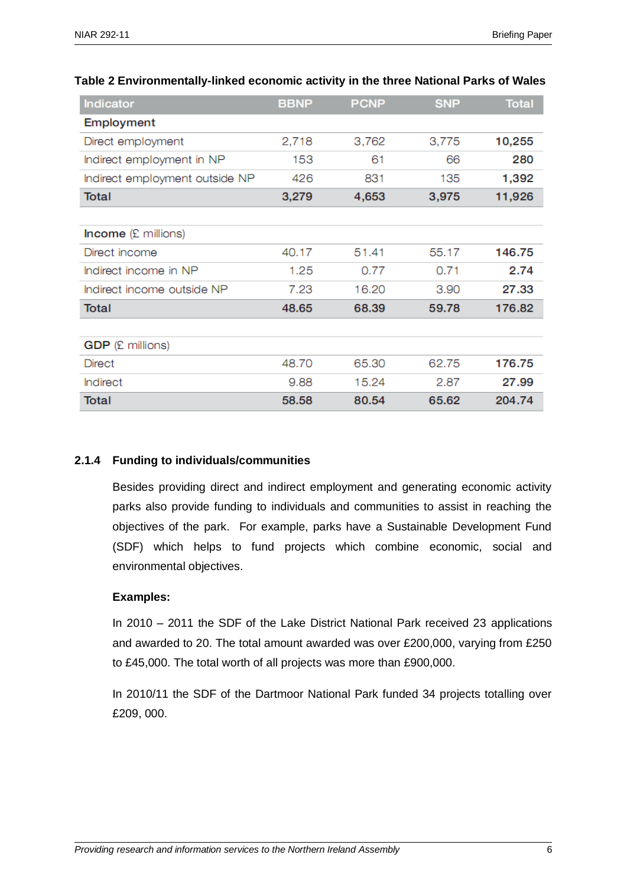| <b>Indicator</b>               | <b>BBNP</b> | <b>PCNP</b> | <b>SNP</b> | <b>Total</b> |
|--------------------------------|-------------|-------------|------------|--------------|
| Employment                     |             |             |            |              |
| Direct employment              | 2,718       | 3,762       | 3,775      | 10,255       |
| Indirect employment in NP      | 153         | 61          | 66         | 280          |
| Indirect employment outside NP | 426         | 831         | 135        | 1,392        |
| Total                          | 3,279       | 4,653       | 3,975      | 11,926       |
|                                |             |             |            |              |
| <b>Income</b> (£ millions)     |             |             |            |              |
| Direct income                  | 40.17       | 51.41       | 55.17      | 146.75       |
| Indirect income in NP          | 1.25        | 0.77        | 0.71       | 2.74         |
| Indirect income outside NP     | 7.23        | 16.20       | 3.90       | 27.33        |
| Total                          | 48.65       | 68.39       | 59.78      | 176.82       |
|                                |             |             |            |              |
| <b>GDP</b> (£ millions)        |             |             |            |              |
| <b>Direct</b>                  | 48.70       | 65.30       | 62.75      | 176.75       |
| <b>Indirect</b>                | 9.88        | 15.24       | 2.87       | 27.99        |
| <b>Total</b>                   | 58.58       | 80.54       | 65.62      | 204.74       |

# **Table 2 Environmentally-linked economic activity in the three National Parks of Wales**

# **2.1.4 Funding to individuals/communities**

Besides providing direct and indirect employment and generating economic activity parks also provide funding to individuals and communities to assist in reaching the objectives of the park. For example, parks have a Sustainable Development Fund (SDF) which helps to fund projects which combine economic, social and environmental objectives.

# **Examples:**

In 2010 – 2011 the SDF of the Lake District National Park received 23 applications and awarded to 20. The total amount awarded was over £200,000, varying from £250 to £45,000. The total worth of all projects was more than £900,000.

In 2010/11 the SDF of the Dartmoor National Park funded 34 projects totalling over £209, 000.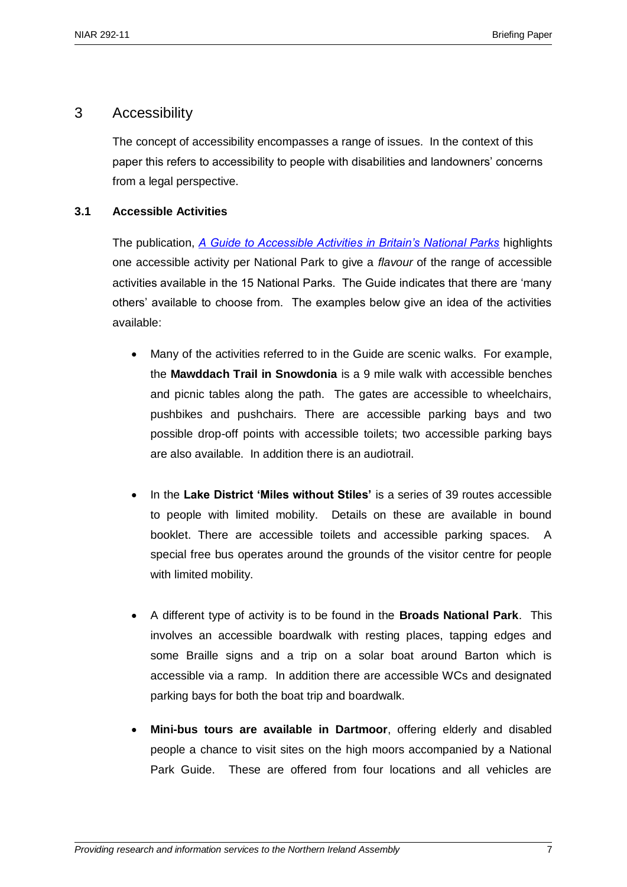# 3 Accessibility

The concept of accessibility encompasses a range of issues. In the context of this paper this refers to accessibility to people with disabilities and landowners' concerns from a legal perspective.

# **3.1 Accessible Activities**

The publication, *[A Guide to Accessible Activities in Britain's National Parks](http://www.nationalparks.gov.uk/visiting/outdooractivities/accessforall.htm)* highlights one accessible activity per National Park to give a *flavour* of the range of accessible activities available in the 15 National Parks. The Guide indicates that there are 'many others' available to choose from. The examples below give an idea of the activities available:

- Many of the activities referred to in the Guide are scenic walks. For example, the **Mawddach Trail in Snowdonia** is a 9 mile walk with accessible benches and picnic tables along the path. The gates are accessible to wheelchairs, pushbikes and pushchairs. There are accessible parking bays and two possible drop-off points with accessible toilets; two accessible parking bays are also available. In addition there is an audiotrail.
- In the **Lake District 'Miles without Stiles'** is a series of 39 routes accessible to people with limited mobility. Details on these are available in bound booklet. There are accessible toilets and accessible parking spaces. A special free bus operates around the grounds of the visitor centre for people with limited mobility.
- A different type of activity is to be found in the **Broads National Park**. This involves an accessible boardwalk with resting places, tapping edges and some Braille signs and a trip on a solar boat around Barton which is accessible via a ramp. In addition there are accessible WCs and designated parking bays for both the boat trip and boardwalk.
- **Mini-bus tours are available in Dartmoor**, offering elderly and disabled people a chance to visit sites on the high moors accompanied by a National Park Guide. These are offered from four locations and all vehicles are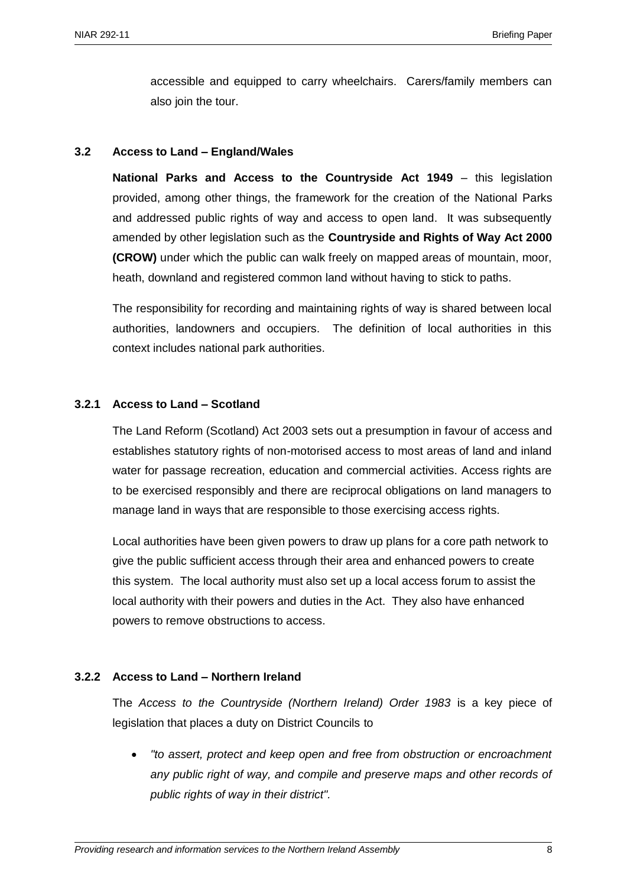accessible and equipped to carry wheelchairs. Carers/family members can also join the tour.

# **3.2 Access to Land – England/Wales**

**National Parks and Access to the Countryside Act 1949 - this legislation** provided, among other things, the framework for the creation of the National Parks and addressed public rights of way and access to open land. It was subsequently amended by other legislation such as the **Countryside and Rights of Way Act 2000 (CROW)** under which the public can walk freely on mapped areas of mountain, moor, heath, downland and registered common land without having to stick to paths.

The responsibility for recording and maintaining rights of way is shared between local authorities, landowners and occupiers. The definition of local authorities in this context includes national park authorities.

# **3.2.1 Access to Land – Scotland**

The Land Reform (Scotland) Act 2003 sets out a presumption in favour of access and establishes statutory rights of non-motorised access to most areas of land and inland water for passage recreation, education and commercial activities. Access rights are to be exercised responsibly and there are reciprocal obligations on land managers to manage land in ways that are responsible to those exercising access rights.

Local authorities have been given powers to draw up plans for a core path network to give the public sufficient access through their area and enhanced powers to create this system. The local authority must also set up a local access forum to assist the local authority with their powers and duties in the Act. They also have enhanced powers to remove obstructions to access.

# **3.2.2 Access to Land – Northern Ireland**

The *Access to the Countryside (Northern Ireland) Order 1983* is a key piece of legislation that places a duty on District Councils to

 *"to assert, protect and keep open and free from obstruction or encroachment any public right of way, and compile and preserve maps and other records of public rights of way in their district".*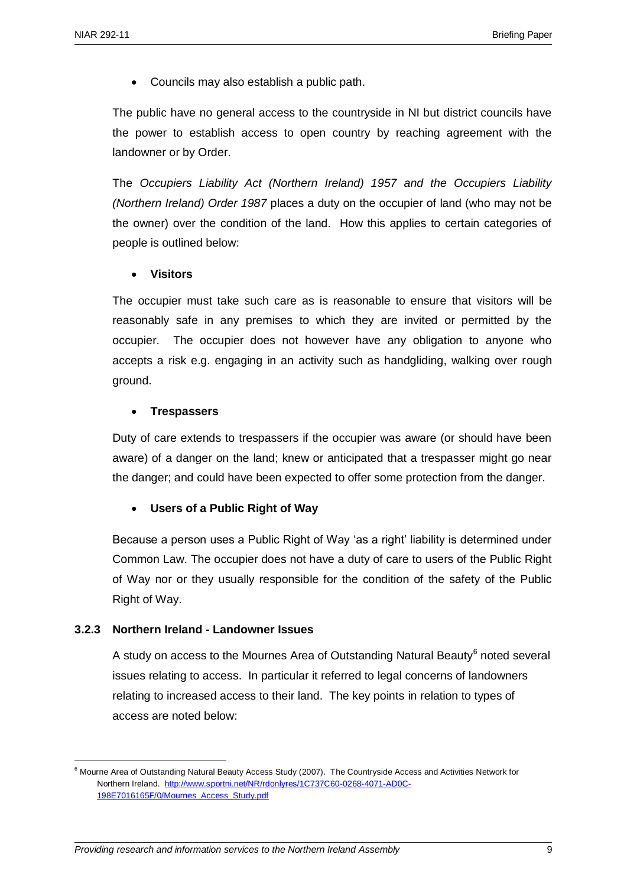Councils may also establish a public path.

The public have no general access to the countryside in NI but district councils have the power to establish access to open country by reaching agreement with the landowner or by Order.

The *Occupiers Liability Act (Northern Ireland) 1957 and the Occupiers Liability (Northern Ireland) Order 1987* places a duty on the occupier of land (who may not be the owner) over the condition of the land. How this applies to certain categories of people is outlined below:

# **Visitors**

The occupier must take such care as is reasonable to ensure that visitors will be reasonably safe in any premises to which they are invited or permitted by the occupier. The occupier does not however have any obligation to anyone who accepts a risk e.g. engaging in an activity such as handgliding, walking over rough ground.

# **Trespassers**

Duty of care extends to trespassers if the occupier was aware (or should have been aware) of a danger on the land; knew or anticipated that a trespasser might go near the danger; and could have been expected to offer some protection from the danger.

# **Users of a Public Right of Way**

Because a person uses a Public Right of Way 'as a right' liability is determined under Common Law. The occupier does not have a duty of care to users of the Public Right of Way nor or they usually responsible for the condition of the safety of the Public Right of Way.

# **3.2.3 Northern Ireland - Landowner Issues**

1

A study on access to the Mournes Area of Outstanding Natural Beauty<sup>6</sup> noted several issues relating to access. In particular it referred to legal concerns of landowners relating to increased access to their land. The key points in relation to types of access are noted below:

<sup>6</sup> Mourne Area of Outstanding Natural Beauty Access Study (2007). The Countryside Access and Activities Network for Northern Ireland. [http://www.sportni.net/NR/rdonlyres/1C737C60-0268-4071-AD0C-](http://www.sportni.net/NR/rdonlyres/1C737C60-0268-4071-AD0C-198E7016165F/0/Mournes_Access_Study.pdf)[198E7016165F/0/Mournes\\_Access\\_Study.pdf](http://www.sportni.net/NR/rdonlyres/1C737C60-0268-4071-AD0C-198E7016165F/0/Mournes_Access_Study.pdf)